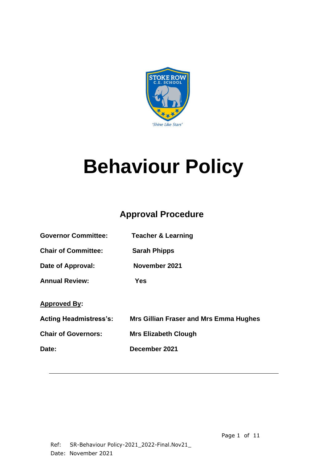

# **Behaviour Policy**

# **Approval Procedure**

| <b>Governor Committee:</b> | <b>Teacher &amp; Learning</b>                 |
|----------------------------|-----------------------------------------------|
| <b>Chair of Committee:</b> | <b>Sarah Phipps</b>                           |
| Date of Approval:          | November 2021                                 |
| <b>Annual Review:</b>      | Yes                                           |
| <b>Approved By:</b>        |                                               |
| Acting Headmistress's:     | <b>Mrs Gillian Fraser and Mrs Emma Hughes</b> |
| <b>Chair of Governors:</b> | <b>Mrs Elizabeth Clough</b>                   |
| Date:                      | December 2021                                 |
|                            |                                               |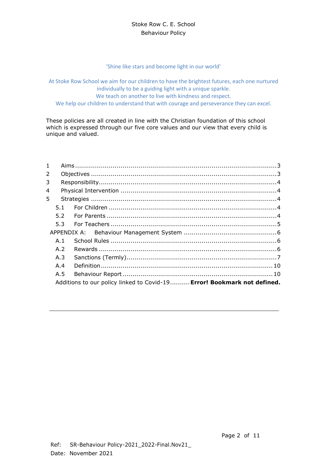#### Stoke Row C. E. School Behaviour Policy

'Shine like stars and become light in our world'

At Stoke Row School we aim for our children to have the brightest futures, each one nurtured individually to be a guiding light with a unique sparkle. We teach on another to live with kindness and respect. We help our children to understand that with courage and perseverance they can excel.

These policies are all created in line with the Christian foundation of this school which is expressed through our five core values and our view that every child is unique and valued.

| $\mathbf{1}$ |     |                                                                         |
|--------------|-----|-------------------------------------------------------------------------|
| 2            |     |                                                                         |
| 3            |     |                                                                         |
| 4            |     |                                                                         |
| 5.           |     |                                                                         |
|              | 5.1 |                                                                         |
|              |     |                                                                         |
|              |     |                                                                         |
|              |     |                                                                         |
|              | A.1 |                                                                         |
|              | A.2 |                                                                         |
|              | A.3 |                                                                         |
|              | A.4 |                                                                         |
|              | A.5 |                                                                         |
|              |     | Additions to our policy linked to Covid-19 Error! Bookmark not defined. |
|              |     |                                                                         |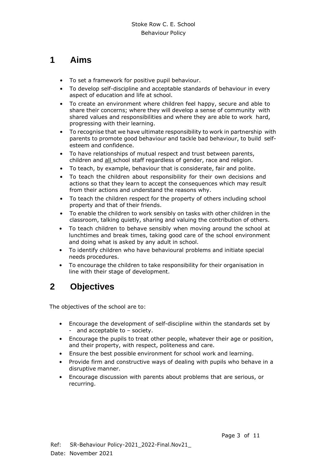### <span id="page-2-0"></span>**1 Aims**

- To set a framework for positive pupil behaviour.
- To develop self-discipline and acceptable standards of behaviour in every aspect of education and life at school.
- To create an environment where children feel happy, secure and able to share their concerns; where they will develop a sense of community with shared values and responsibilities and where they are able to work hard, progressing with their learning.
- To recognise that we have ultimate responsibility to work in partnership with parents to promote good behaviour and tackle bad behaviour, to build selfesteem and confidence.
- To have relationships of mutual respect and trust between parents, children and all school staff regardless of gender, race and religion.
- To teach, by example, behaviour that is considerate, fair and polite.
- To teach the children about responsibility for their own decisions and actions so that they learn to accept the consequences which may result from their actions and understand the reasons why.
- To teach the children respect for the property of others including school property and that of their friends.
- To enable the children to work sensibly on tasks with other children in the classroom, talking quietly, sharing and valuing the contribution of others.
- To teach children to behave sensibly when moving around the school at lunchtimes and break times, taking good care of the school environment and doing what is asked by any adult in school.
- To identify children who have behavioural problems and initiate special needs procedures.
- To encourage the children to take responsibility for their organisation in line with their stage of development.

# <span id="page-2-1"></span>**2 Objectives**

The objectives of the school are to:

- Encourage the development of self-discipline within the standards set by - and acceptable to – society.
- Encourage the pupils to treat other people, whatever their age or position, and their property, with respect, politeness and care.
- Ensure the best possible environment for school work and learning.
- Provide firm and constructive ways of dealing with pupils who behave in a disruptive manner.
- Encourage discussion with parents about problems that are serious, or recurring.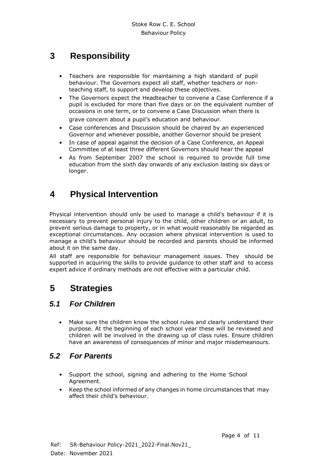# <span id="page-3-0"></span>**3 Responsibility**

- Teachers are responsible for maintaining a high standard of pupil behaviour. The Governors expect all staff, whether teachers or nonteaching staff, to support and develop these objectives.
- The Governors expect the Headteacher to convene a Case Conference if a pupil is excluded for more than five days or on the equivalent number of occasions in one term, or to convene a Case Discussion when there is

grave concern about a pupil's education and behaviour.

- Case conferences and Discussion should be chaired by an experienced Governor and whenever possible, another Governor should be present
- In case of appeal against the decision of a Case Conference, an Appeal Committee of at least three different Governors should hear the appeal
- As from September 2007 the school is required to provide full time education from the sixth day onwards of any exclusion lasting six days or longer.

# <span id="page-3-1"></span>**4 Physical Intervention**

Physical intervention should only be used to manage a child's behaviour if it is necessary to prevent personal injury to the child, other children or an adult, to prevent serious damage to property, or in what would reasonably be regarded as exceptional circumstances. Any occasion where physical intervention is used to manage a child's behaviour should be recorded and parents should be informed about it on the same day.

All staff are responsible for behaviour management issues. They should be supported in acquiring the skills to provide guidance to other staff and to access expert advice if ordinary methods are not effective with a particular child.

# <span id="page-3-2"></span>**5 Strategies**

#### <span id="page-3-3"></span>*5.1 For Children*

• Make sure the children know the school rules and clearly understand their purpose. At the beginning of each school year these will be reviewed and children will be involved in the drawing up of class rules. Ensure children have an awareness of consequences of minor and major misdemeanours.

#### <span id="page-3-4"></span>*5.2 For Parents*

- Support the school, signing and adhering to the Home School Agreement.
- Keep the school informed of any changes in home circumstances that may affect their child's behaviour.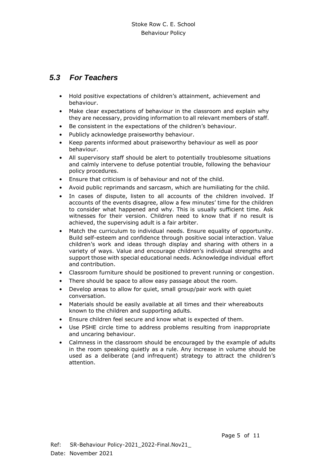#### <span id="page-4-0"></span>*5.3 For Teachers*

- Hold positive expectations of children's attainment, achievement and behaviour.
- Make clear expectations of behaviour in the classroom and explain why they are necessary, providing information to all relevant members of staff.
- Be consistent in the expectations of the children's behaviour.
- Publicly acknowledge praiseworthy behaviour.
- Keep parents informed about praiseworthy behaviour as well as poor behaviour.
- All supervisory staff should be alert to potentially troublesome situations and calmly intervene to defuse potential trouble, following the behaviour policy procedures.
- Ensure that criticism is of behaviour and not of the child.
- Avoid public reprimands and sarcasm, which are humiliating for the child.
- In cases of dispute, listen to all accounts of the children involved. If accounts of the events disagree, allow a few minutes' time for the children to consider what happened and why. This is usually sufficient time. Ask witnesses for their version. Children need to know that if no result is achieved, the supervising adult is a fair arbiter.
- Match the curriculum to individual needs. Ensure equality of opportunity. Build self-esteem and confidence through positive social interaction. Value children's work and ideas through display and sharing with others in a variety of ways. Value and encourage children's individual strengths and support those with special educational needs. Acknowledge individual effort and contribution.
- Classroom furniture should be positioned to prevent running or congestion.
- There should be space to allow easy passage about the room.
- Develop areas to allow for quiet, small group/pair work with quiet conversation.
- Materials should be easily available at all times and their whereabouts known to the children and supporting adults.
- Ensure children feel secure and know what is expected of them.
- Use PSHE circle time to address problems resulting from inappropriate and uncaring behaviour.
- Calmness in the classroom should be encouraged by the example of adults in the room speaking quietly as a rule. Any increase in volume should be used as a deliberate (and infrequent) strategy to attract the children's attention.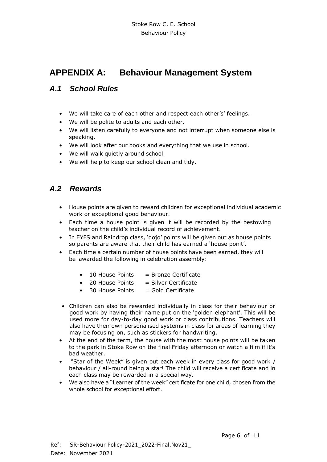## <span id="page-5-0"></span>**APPENDIX A: Behaviour Management System**

#### <span id="page-5-1"></span>*A.1 School Rules*

- We will take care of each other and respect each other's' feelings.
- We will be polite to adults and each other.
- We will listen carefully to everyone and not interrupt when someone else is speaking.
- We will look after our books and everything that we use in school.
- We will walk quietly around school.
- We will help to keep our school clean and tidy.

#### <span id="page-5-2"></span>*A.2 Rewards*

- House points are given to reward children for exceptional individual academic work or exceptional good behaviour.
- Each time a house point is given it will be recorded by the bestowing teacher on the child's individual record of achievement.
- In EYFS and Raindrop class, 'dojo' points will be given out as house points so parents are aware that their child has earned a 'house point'.
- Each time a certain number of house points have been earned, they will be awarded the following in celebration assembly:
	- $\bullet$  10 House Points = Bronze Certificate
	- $\bullet$  20 House Points  $=$  Silver Certificate
	- $\bullet$  30 House Points  $=$  Gold Certificate
- Children can also be rewarded individually in class for their behaviour or good work by having their name put on the 'golden elephant'. This will be used more for day-to-day good work or class contributions. Teachers will also have their own personalised systems in class for areas of learning they may be focusing on, such as stickers for handwriting.
- At the end of the term, the house with the most house points will be taken to the park in Stoke Row on the final Friday afternoon or watch a film if it's bad weather.
- "Star of the Week" is given out each week in every class for good work / behaviour / all-round being a star! The child will receive a certificate and in each class may be rewarded in a special way.
- We also have a "Learner of the week" certificate for one child, chosen from the whole school for exceptional effort.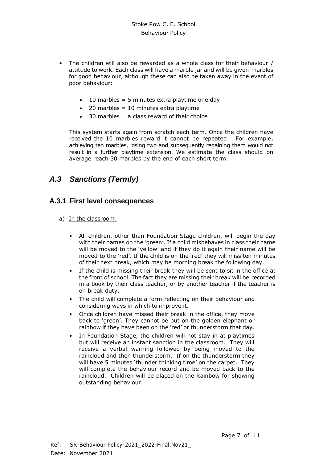- The children will also be rewarded as a whole class for their behaviour / attitude to work. Each class will have a marble jar and will be given marbles for good behaviour, although these can also be taken away in the event of poor behaviour:
	- $\bullet$  10 marbles = 5 minutes extra playtime one day
	- $\bullet$  20 marbles = 10 minutes extra playtime
	- $\bullet$  30 marbles = a class reward of their choice

This system starts again from scratch each term. Once the children have received the 10 marbles reward it cannot be repeated. For example, achieving ten marbles, losing two and subsequently regaining them would not result in a further playtime extension. We estimate the class should on average reach 30 marbles by the end of each short term.

#### <span id="page-6-0"></span>*A.3 Sanctions (Termly)*

#### **A.3.1 First level consequences**

- a) In the classroom:
	- All children, other than Foundation Stage children, will begin the day with their names on the 'green'. If a child misbehaves in class their name will be moved to the 'yellow' and if they do it again their name will be moved to the 'red'. If the child is on the 'red' they will miss ten minutes of their next break, which may be morning break the following day.
	- If the child is missing their break they will be sent to sit in the office at the front of school. The fact they are missing their break will be recorded in a book by their class teacher, or by another teacher if the teacher is on break duty.
	- The child will complete a form reflecting on their behaviour and considering ways in which to improve it.
	- Once children have missed their break in the office, they move back to 'green'. They cannot be put on the golden elephant or rainbow if they have been on the 'red' or thunderstorm that day.
	- In Foundation Stage, the children will not stay in at playtimes but will receive an instant sanction in the classroom. They will receive a verbal warning followed by being moved to the raincloud and then thunderstorm. If on the thunderstorm they will have 5 minutes 'thunder thinking time' on the carpet. They will complete the behaviour record and be moved back to the raincloud. Children will be placed on the Rainbow for showing outstanding behaviour.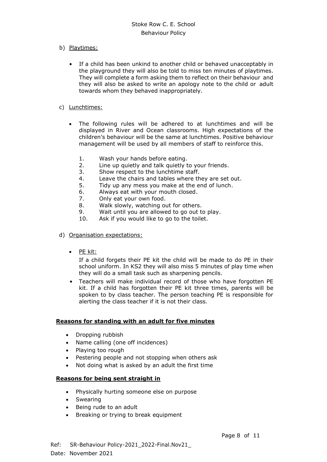- b) Playtimes:
	- If a child has been unkind to another child or behaved unacceptably in the playground they will also be told to miss ten minutes of playtimes. They will complete a form asking them to reflect on their behaviour and they will also be asked to write an apology note to the child or adult towards whom they behaved inappropriately.
- c) Lunchtimes:
	- The following rules will be adhered to at lunchtimes and will be displayed in River and Ocean classrooms. High expectations of the children's behaviour will be the same at lunchtimes. Positive behaviour management will be used by all members of staff to reinforce this.
		- 1. Wash your hands before eating.
		- 2. Line up quietly and talk quietly to your friends.
		- 3. Show respect to the lunchtime staff.
		- 4. Leave the chairs and tables where they are set out.
		- 5. Tidy up any mess you make at the end of lunch.
		- 6. Always eat with your mouth closed.
		- 7. Only eat your own food.
		- 8. Walk slowly, watching out for others.
		- 9. Wait until you are allowed to go out to play.<br>10. Ask if you would like to go to the toilet.
		- Ask if you would like to go to the toilet.
- d) Organisation expectations:
	- PE kit:

If a child forgets their PE kit the child will be made to do PE in their school uniform. In KS2 they will also miss 5 minutes of play time when they will do a small task such as sharpening pencils.

• Teachers will make individual record of those who have forgotten PE kit. If a child has forgotten their PE kit three times, parents will be spoken to by class teacher. The person teaching PE is responsible for alerting the class teacher if it is not their class.

#### **Reasons for standing with an adult for five minutes**

- Dropping rubbish
- Name calling (one off incidences)
- Playing too rough
- Pestering people and not stopping when others ask
- Not doing what is asked by an adult the first time

#### **Reasons for being sent straight in**

- Physically hurting someone else on purpose
- Swearing
- Being rude to an adult
- Breaking or trying to break equipment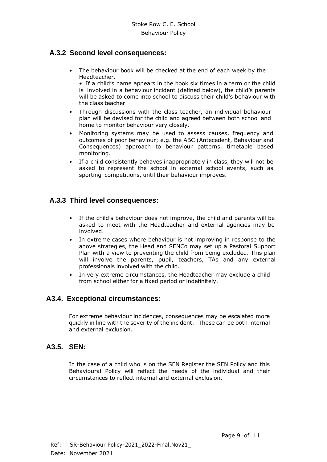#### **A.3.2 Second level consequences:**

• The behaviour book will be checked at the end of each week by the Headteacher.

• If a child's name appears in the book six times in a term or the child is involved in a behaviour incident (defined below), the child's parents will be asked to come into school to discuss their child's behaviour with the class teacher.

- Through discussions with the class teacher, an individual behaviour plan will be devised for the child and agreed between both school and home to monitor behaviour very closely.
- Monitoring systems may be used to assess causes, frequency and outcomes of poor behaviour; e.g. the ABC (Antecedent, Behaviour and Consequences) approach to behaviour patterns, timetable based monitoring.
- If a child consistently behaves inappropriately in class, they will not be asked to represent the school in external school events, such as sporting competitions, until their behaviour improves.

#### **A.3.3 Third level consequences:**

- If the child's behaviour does not improve, the child and parents will be asked to meet with the Headteacher and external agencies may be involved.
- In extreme cases where behaviour is not improving in response to the above strategies, the Head and SENCo may set up a Pastoral Support Plan with a view to preventing the child from being excluded. This plan will involve the parents, pupil, teachers, TAs and any external professionals involved with the child.
- In very extreme circumstances, the Headteacher may exclude a child from school either for a fixed period or indefinitely.

#### **A3.4. Exceptional circumstances:**

For extreme behaviour incidences, consequences may be escalated more quickly in line with the severity of the incident. These can be both internal and external exclusion.

#### **A3.5. SEN:**

In the case of a child who is on the SEN Register the SEN Policy and this Behavioural Policy will reflect the needs of the individual and their circumstances to reflect internal and external exclusion.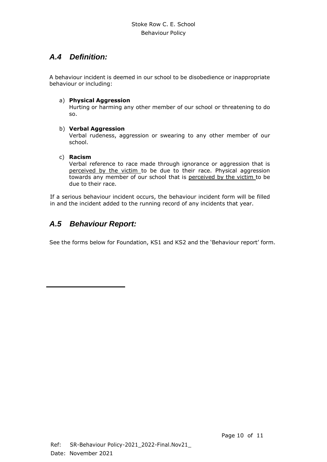#### <span id="page-9-0"></span>*A.4 Definition:*

A behaviour incident is deemed in our school to be disobedience or inappropriate behaviour or including:

#### a) **Physical Aggression**

Hurting or harming any other member of our school or threatening to do so.

#### b) **Verbal Aggression**

Verbal rudeness, aggression or swearing to any other member of our school.

#### c) **Racism**

Verbal reference to race made through ignorance or aggression that is perceived by the victim to be due to their race. Physical aggression towards any member of our school that is perceived by the victim to be due to their race.

If a serious behaviour incident occurs, the behaviour incident form will be filled in and the incident added to the running record of any incidents that year.

#### <span id="page-9-1"></span>*A.5 Behaviour Report:*

See the forms below for Foundation, KS1 and KS2 and the 'Behaviour report' form.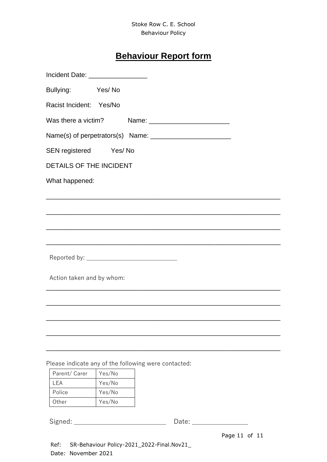#### Stoke Row C. E. School Behaviour Policy

# **Behaviour Report form**

| Incident Date: ____________________ |                                                      |
|-------------------------------------|------------------------------------------------------|
| Bullying: Yes/No                    |                                                      |
| Racist Incident: Yes/No             |                                                      |
| Was there a victim?                 |                                                      |
|                                     |                                                      |
| SEN registered Yes/No               |                                                      |
| <b>DETAILS OF THE INCIDENT</b>      |                                                      |
| What happened:                      |                                                      |
|                                     |                                                      |
|                                     |                                                      |
|                                     |                                                      |
|                                     |                                                      |
|                                     |                                                      |
| Action taken and by whom:           |                                                      |
|                                     |                                                      |
|                                     |                                                      |
|                                     |                                                      |
|                                     |                                                      |
|                                     | Please indicate any of the following were contacted: |

| Parent/ Carer | Yes/No |
|---------------|--------|
| I FA          | Yes/No |
| Police        | Yes/No |
| Other         | Yes/No |

| Signed: |  |
|---------|--|

Signed: \_\_\_\_\_\_\_\_\_\_\_\_\_\_\_\_\_\_\_\_\_\_\_\_\_\_\_\_ Date: \_\_\_\_\_\_\_\_\_\_\_\_\_\_\_\_\_

Page 11 of 11

Ref: SR-Behaviour Policy-2021\_2022-Final.Nov21\_ Date: November 2021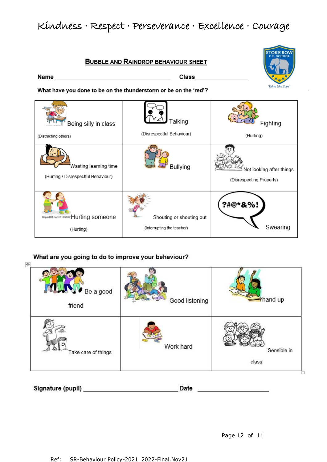# Kindness · Respect · Perseverance · Excellence · Courage

**BUBBLE AND RAINDROP BEHAVIOUR SHEET** 



What have you done to be on the thunderstorm or be on the 'red'?

| Being silly in class                                         | Talking                    | Fighting                                             |
|--------------------------------------------------------------|----------------------------|------------------------------------------------------|
| (Distracting others)                                         | (Disrespectful Behaviour)  | (Hurting)                                            |
| Wasting learning time<br>(Hurting / Disrespectful Behaviour) | Bullying                   | Not looking after things<br>(Disrespecting Property) |
| ClipartOf.com/1129097 Hurting someone                        | Shouting or shouting out   | ?#@*&%!                                              |
| (Hurting)                                                    | (Interrupting the teacher) | Swearing                                             |

#### What are you going to do to improve your behaviour?

| Ħ<br>$Be$ a good<br>friend | Good listening | $\rightarrow$ hand up |
|----------------------------|----------------|-----------------------|
| Take care of things        | Work hard      | Sensible in<br>class  |